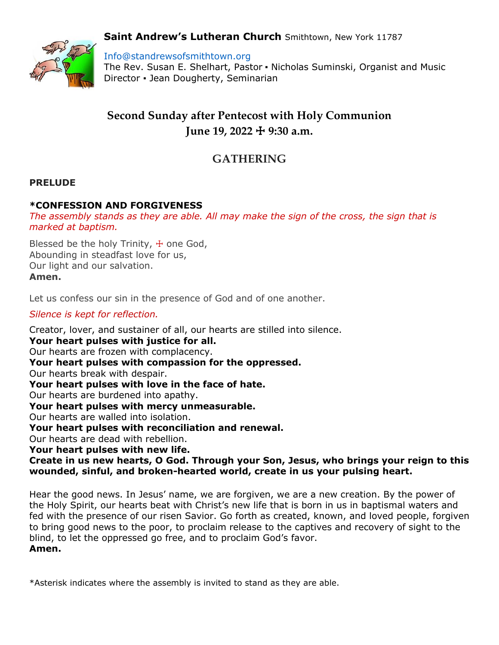## **Saint Andrew's Lutheran Church** Smithtown, New York 11787



Info@standrewsofsmithtown.org

The Rev. Susan E. Shelhart, Pastor ▪ Nicholas Suminski, Organist and Music Director ▪ Jean Dougherty, Seminarian

# **Second Sunday after Pentecost with Holy Communion June 19, 2022** ☩ **9:30 a.m.**

## **GATHERING**

#### **PRELUDE**

#### **\*CONFESSION AND FORGIVENESS**

*The assembly stands as they are able. All may make the sign of the cross, the sign that is marked at baptism.*

Blessed be the holy Trinity,  $+$  one God, Abounding in steadfast love for us, Our light and our salvation. **Amen.**

Let us confess our sin in the presence of God and of one another.

*Silence is kept for reflection.*

Creator, lover, and sustainer of all, our hearts are stilled into silence. **Your heart pulses with justice for all.** Our hearts are frozen with complacency. **Your heart pulses with compassion for the oppressed.** Our hearts break with despair. **Your heart pulses with love in the face of hate.** Our hearts are burdened into apathy. **Your heart pulses with mercy unmeasurable.** Our hearts are walled into isolation. **Your heart pulses with reconciliation and renewal.** Our hearts are dead with rebellion. **Your heart pulses with new life. Create in us new hearts, O God. Through your Son, Jesus, who brings your reign to this wounded, sinful, and broken-hearted world, create in us your pulsing heart.**

Hear the good news. In Jesus' name, we are forgiven, we are a new creation. By the power of the Holy Spirit, our hearts beat with Christ's new life that is born in us in baptismal waters and fed with the presence of our risen Savior. Go forth as created, known, and loved people, forgiven to bring good news to the poor, to proclaim release to the captives and recovery of sight to the blind, to let the oppressed go free, and to proclaim God's favor. **Amen.**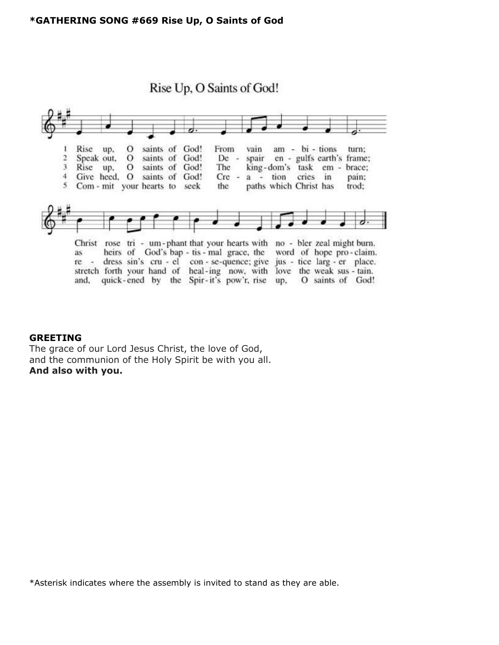

#### **GREETING**

The grace of our Lord Jesus Christ, the love of God, and the communion of the Holy Spirit be with you all. **And also with you.**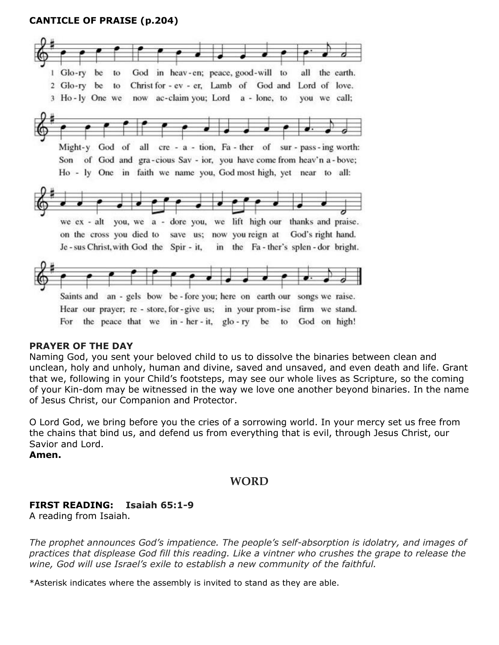## **CANTICLE OF PRAISE (p.204)**



#### **PRAYER OF THE DAY**

Naming God, you sent your beloved child to us to dissolve the binaries between clean and unclean, holy and unholy, human and divine, saved and unsaved, and even death and life. Grant that we, following in your Child's footsteps, may see our whole lives as Scripture, so the coming of your Kin-dom may be witnessed in the way we love one another beyond binaries. In the name of Jesus Christ, our Companion and Protector.

O Lord God, we bring before you the cries of a sorrowing world. In your mercy set us free from the chains that bind us, and defend us from everything that is evil, through Jesus Christ, our Savior and Lord.

**Amen.**

### **WORD**

#### **FIRST READING: Isaiah 65:1-9**

A reading from Isaiah.

*The prophet announces God's impatience. The people's self-absorption is idolatry, and images of practices that displease God fill this reading. Like a vintner who crushes the grape to release the wine, God will use Israel's exile to establish a new community of the faithful.*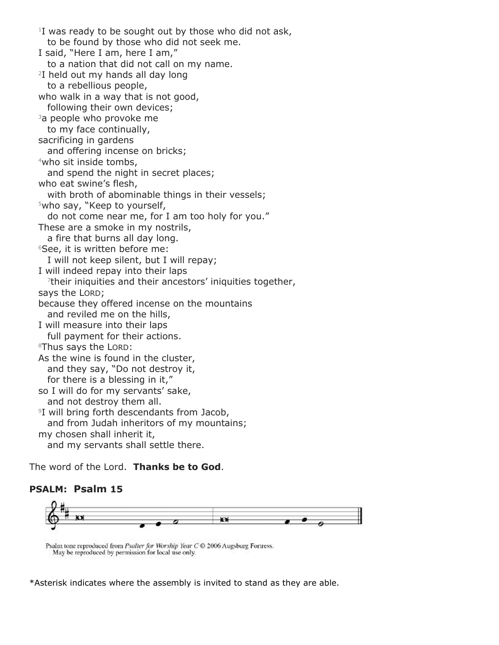$1$ I was ready to be sought out by those who did not ask, to be found by those who did not seek me. I said, "Here I am, here I am," to a nation that did not call on my name. <sup>2</sup>I held out my hands all day long to a rebellious people, who walk in a way that is not good, following their own devices; <sup>3</sup>a people who provoke me to my face continually, sacrificing in gardens and offering incense on bricks; <sup>4</sup>who sit inside tombs, and spend the night in secret places; who eat swine's flesh, with broth of abominable things in their vessels; <sup>5</sup>who say, "Keep to yourself, do not come near me, for I am too holy for you." These are a smoke in my nostrils, a fire that burns all day long. <sup>6</sup>See, it is written before me: I will not keep silent, but I will repay; I will indeed repay into their laps 7 their iniquities and their ancestors' iniquities together, says the LORD; because they offered incense on the mountains and reviled me on the hills, I will measure into their laps full payment for their actions. <sup>8</sup>Thus says the LORD: As the wine is found in the cluster, and they say, "Do not destroy it, for there is a blessing in it," so I will do for my servants' sake, and not destroy them all. <sup>9</sup>I will bring forth descendants from Jacob, and from Judah inheritors of my mountains; my chosen shall inherit it, and my servants shall settle there.

The word of the Lord. **Thanks be to God**.

### **PSALM: Psalm 15**



Psalm tone reproduced from Psalter for Worship Year C C 2006 Augsburg Fortress. May be reproduced by permission for local use only.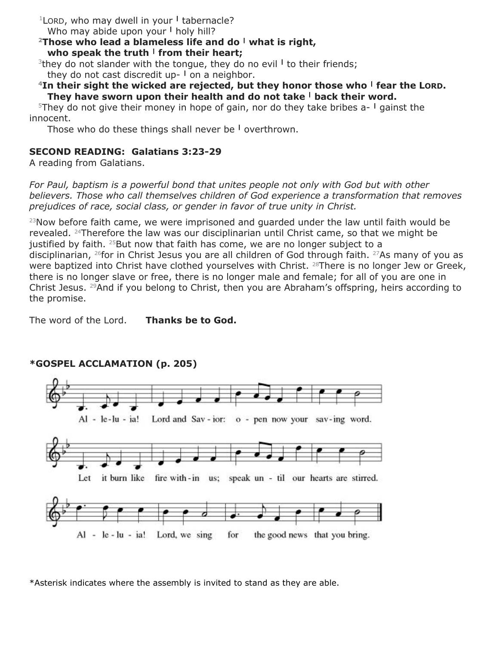<sup>1</sup>LORD, who may dwell in your **<sup>|</sup>** tabernacle? Who may abide upon your **<sup>|</sup>** holy hill?

**<sup>2</sup>Those who lead a blameless life and do <sup>|</sup> what is right, who speak the truth <sup>|</sup> from their heart;**

<sup>3</sup>they do not slander with the tongue, they do no evil <sup>1</sup> to their friends; they do not cast discredit up- **<sup>|</sup>** on a neighbor.

### **<sup>4</sup>In their sight the wicked are rejected, but they honor those who <sup>|</sup> fear the LORD. They have sworn upon their health and do not take <sup>|</sup> back their word.**

<sup>5</sup>They do not give their money in hope of gain, nor do they take bribes a- **<sup>|</sup>** gainst the innocent.

Those who do these things shall never be **<sup>|</sup>** overthrown.

## **SECOND READING: Galatians 3:23-29**

A reading from Galatians.

*For Paul, baptism is a powerful bond that unites people not only with God but with other believers. Those who call themselves children of God experience a transformation that removes prejudices of race, social class, or gender in favor of true unity in Christ.*

 $23$ Now before faith came, we were imprisoned and quarded under the law until faith would be revealed. <sup>24</sup>Therefore the law was our disciplinarian until Christ came, so that we might be justified by faith.  $25$ But now that faith has come, we are no longer subject to a disciplinarian, <sup>26</sup>for in Christ Jesus you are all children of God through faith. <sup>27</sup>As many of you as were baptized into Christ have clothed yourselves with Christ. 28There is no longer Jew or Greek, there is no longer slave or free, there is no longer male and female; for all of you are one in Christ Jesus. <sup>29</sup>And if you belong to Christ, then you are Abraham's offspring, heirs according to the promise.

The word of the Lord. **Thanks be to God.**



## **\*GOSPEL ACCLAMATION (p. 205)**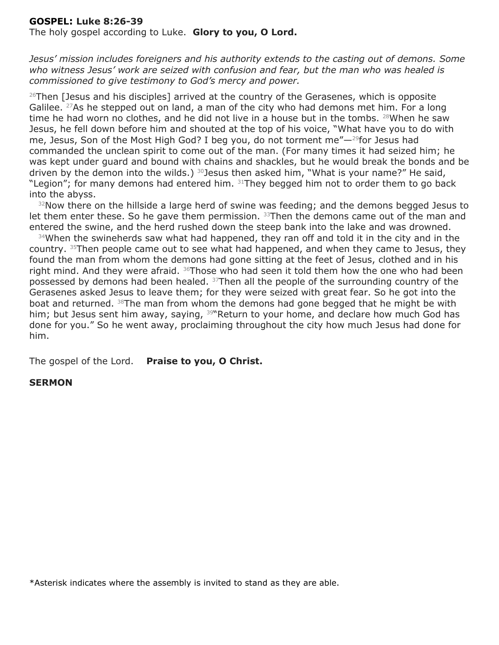#### **GOSPEL: Luke 8:26-39**

The holy gospel according to Luke. **Glory to you, O Lord.**

*Jesus' mission includes foreigners and his authority extends to the casting out of demons. Some who witness Jesus' work are seized with confusion and fear, but the man who was healed is commissioned to give testimony to God's mercy and power.*

 $26$ Then [Jesus and his disciples] arrived at the country of the Gerasenes, which is opposite Galilee. <sup>27</sup>As he stepped out on land, a man of the city who had demons met him. For a long time he had worn no clothes, and he did not live in a house but in the tombs.  $28$ When he saw Jesus, he fell down before him and shouted at the top of his voice, "What have you to do with me, Jesus, Son of the Most High God? I beg you, do not torment me"—29for Jesus had commanded the unclean spirit to come out of the man. (For many times it had seized him; he was kept under guard and bound with chains and shackles, but he would break the bonds and be driven by the demon into the wilds.)  $30$  Jesus then asked him, "What is your name?" He said, "Legion"; for many demons had entered him. 31They begged him not to order them to go back into the abyss.

<sup>32</sup>Now there on the hillside a large herd of swine was feeding; and the demons begged Jesus to let them enter these. So he gave them permission.  $33$ Then the demons came out of the man and entered the swine, and the herd rushed down the steep bank into the lake and was drowned.

34When the swineherds saw what had happened, they ran off and told it in the city and in the country. <sup>35</sup>Then people came out to see what had happened, and when they came to Jesus, they found the man from whom the demons had gone sitting at the feet of Jesus, clothed and in his right mind. And they were afraid. <sup>36</sup>Those who had seen it told them how the one who had been possessed by demons had been healed. <sup>37</sup>Then all the people of the surrounding country of the Gerasenes asked Jesus to leave them; for they were seized with great fear. So he got into the boat and returned. <sup>38</sup>The man from whom the demons had gone begged that he might be with him; but Jesus sent him away, saying, <sup>39</sup>"Return to your home, and declare how much God has done for you." So he went away, proclaiming throughout the city how much Jesus had done for him.

The gospel of the Lord. **Praise to you, O Christ.**

#### **SERMON**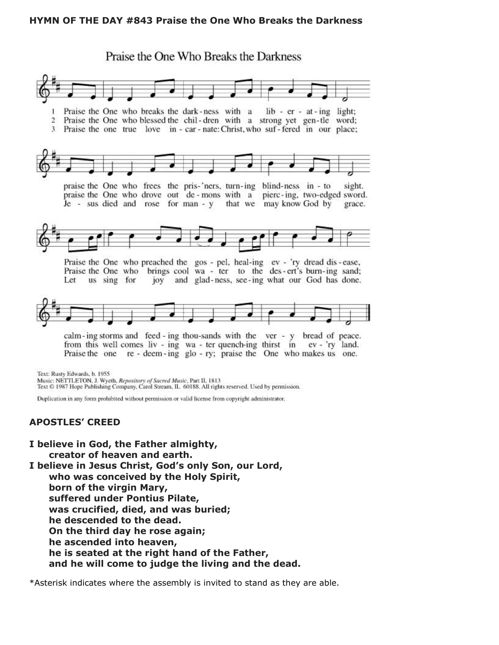#### **HYMN OF THE DAY #843 Praise the One Who Breaks the Darkness**

Praise the One Who Breaks the Darkness Praise the One who breaks the dark-ness with a lib - er - at - ing light; Praise the One who blessed the chil-dren with a strong yet gen-tle word;  $\overline{2}$  $\overline{3}$ Praise the one true love in - car - nate: Christ, who suf - fered in our place;



praise the One who frees the pris-'ners, turn-ing blind-ness in - to sight. praise the One who drove out de-mons with a pierc-ing, two-edged sword. Je - sus died and rose for man - y that we may know God by grace.



Praise the One who preached the gos - pel, heal-ing ev - 'ry dread dis-ease, Praise the One who brings cool wa - ter to the des-ert's burn-ing sand; joy and glad-ness, see-ing what our God has done. Let us sing for



calm-ing storms and feed-ing thou-sands with the ver - y bread of peace. from this well comes liv - ing wa - ter quench-ing thirst in ev - 'ry land. Praise the one re - deem-ing glo - ry; praise the One who makes us one.

Text: Rusty Edwards, b. 1955

Music: NETTLETON, J. Wyeth, Repository of Sacred Music, Part II, 1813

Text © 1987 Hope Publishing Company, Carol Stream, IL 60188. All rights reserved. Used by permission.

Duplication in any form prohibited without permission or valid license from copyright administrator.

#### **APOSTLES' CREED**

**I believe in God, the Father almighty, creator of heaven and earth. I believe in Jesus Christ, God's only Son, our Lord, who was conceived by the Holy Spirit, born of the virgin Mary, suffered under Pontius Pilate, was crucified, died, and was buried; he descended to the dead. On the third day he rose again; he ascended into heaven, he is seated at the right hand of the Father, and he will come to judge the living and the dead.**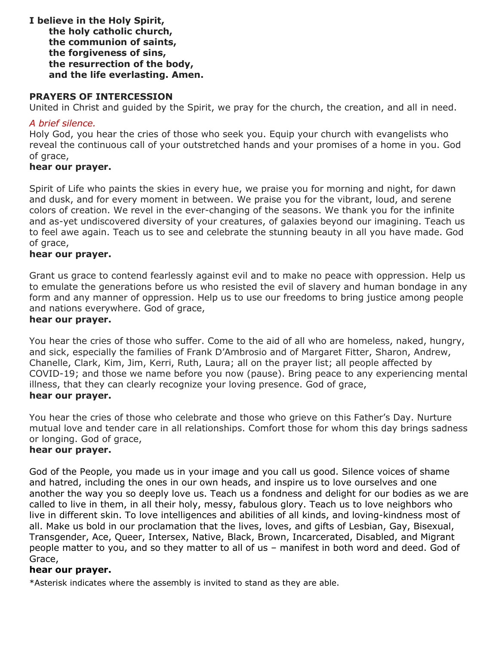**I believe in the Holy Spirit, the holy catholic church, the communion of saints, the forgiveness of sins, the resurrection of the body, and the life everlasting. Amen.**

#### **PRAYERS OF INTERCESSION**

United in Christ and guided by the Spirit, we pray for the church, the creation, and all in need.

#### *A brief silence.*

Holy God, you hear the cries of those who seek you. Equip your church with evangelists who reveal the continuous call of your outstretched hands and your promises of a home in you. God of grace,

#### **hear our prayer.**

Spirit of Life who paints the skies in every hue, we praise you for morning and night, for dawn and dusk, and for every moment in between. We praise you for the vibrant, loud, and serene colors of creation. We revel in the ever-changing of the seasons. We thank you for the infinite and as-yet undiscovered diversity of your creatures, of galaxies beyond our imagining. Teach us to feel awe again. Teach us to see and celebrate the stunning beauty in all you have made. God of grace,

#### **hear our prayer.**

Grant us grace to contend fearlessly against evil and to make no peace with oppression. Help us to emulate the generations before us who resisted the evil of slavery and human bondage in any form and any manner of oppression. Help us to use our freedoms to bring justice among people and nations everywhere. God of grace,

#### **hear our prayer.**

You hear the cries of those who suffer. Come to the aid of all who are homeless, naked, hungry, and sick, especially the families of Frank D'Ambrosio and of Margaret Fitter, Sharon, Andrew, Chanelle, Clark, Kim, Jim, Kerri, Ruth, Laura; all on the prayer list; all people affected by COVID-19; and those we name before you now (pause). Bring peace to any experiencing mental illness, that they can clearly recognize your loving presence. God of grace, **hear our prayer.**

You hear the cries of those who celebrate and those who grieve on this Father's Day. Nurture mutual love and tender care in all relationships. Comfort those for whom this day brings sadness or longing. God of grace,

#### **hear our prayer.**

God of the People, you made us in your image and you call us good. Silence voices of shame and hatred, including the ones in our own heads, and inspire us to love ourselves and one another the way you so deeply love us. Teach us a fondness and delight for our bodies as we are called to live in them, in all their holy, messy, fabulous glory. Teach us to love neighbors who live in different skin. To love intelligences and abilities of all kinds, and loving-kindness most of all. Make us bold in our proclamation that the lives, loves, and gifts of Lesbian, Gay, Bisexual, Transgender, Ace, Queer, Intersex, Native, Black, Brown, Incarcerated, Disabled, and Migrant people matter to you, and so they matter to all of us – manifest in both word and deed. God of Grace,

#### **hear our prayer.**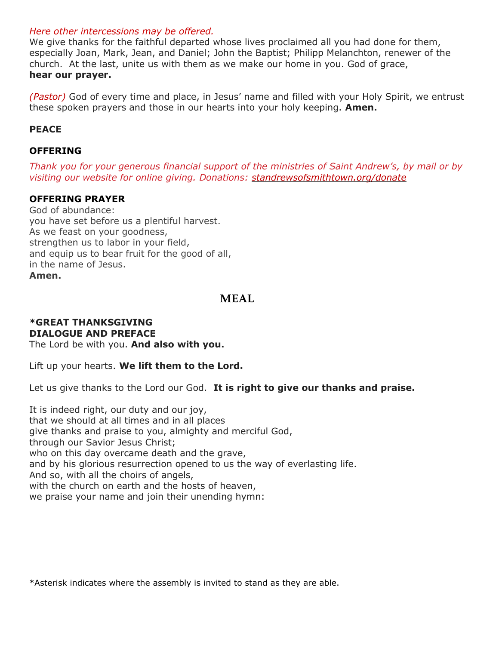#### *Here other intercessions may be offered.*

We give thanks for the faithful departed whose lives proclaimed all you had done for them, especially Joan, Mark, Jean, and Daniel; John the Baptist; Philipp Melanchton, renewer of the church. At the last, unite us with them as we make our home in you. God of grace, **hear our prayer.**

*(Pastor)* God of every time and place, in Jesus' name and filled with your Holy Spirit, we entrust these spoken prayers and those in our hearts into your holy keeping. **Amen.**

### **PEACE**

### **OFFERING**

*Thank you for your generous financial support of the ministries of Saint Andrew's, by mail or by visiting our website for online giving. Donations: [standrewsofsmithtown.org/donate](https://www.standrewsofsmithtown.org/donate/)*

#### **OFFERING PRAYER**

God of abundance: you have set before us a plentiful harvest. As we feast on your goodness, strengthen us to labor in your field, and equip us to bear fruit for the good of all, in the name of Jesus. **Amen.**

## **MEAL**

## **\*GREAT THANKSGIVING DIALOGUE AND PREFACE**

The Lord be with you. **And also with you.**

Lift up your hearts. **We lift them to the Lord.**

Let us give thanks to the Lord our God. **It is right to give our thanks and praise.**

It is indeed right, our duty and our joy, that we should at all times and in all places give thanks and praise to you, almighty and merciful God, through our Savior Jesus Christ; who on this day overcame death and the grave, and by his glorious resurrection opened to us the way of everlasting life. And so, with all the choirs of angels, with the church on earth and the hosts of heaven, we praise your name and join their unending hymn: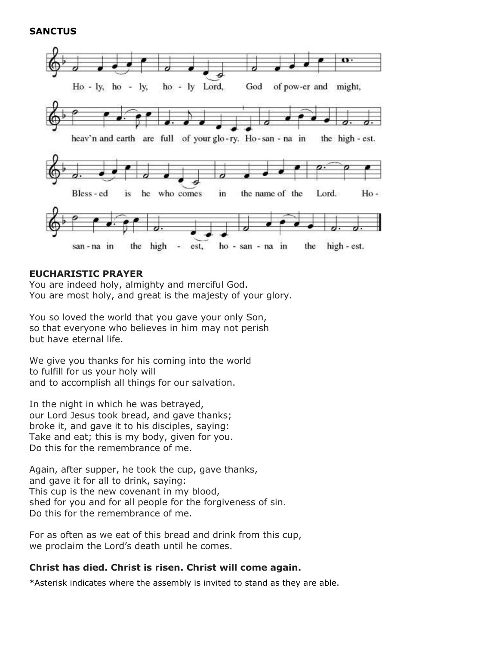#### **SANCTUS**



#### **EUCHARISTIC PRAYER**

You are indeed holy, almighty and merciful God. You are most holy, and great is the majesty of your glory.

You so loved the world that you gave your only Son, so that everyone who believes in him may not perish but have eternal life.

We give you thanks for his coming into the world to fulfill for us your holy will and to accomplish all things for our salvation.

In the night in which he was betrayed, our Lord Jesus took bread, and gave thanks; broke it, and gave it to his disciples, saying: Take and eat; this is my body, given for you. Do this for the remembrance of me.

Again, after supper, he took the cup, gave thanks, and gave it for all to drink, saying: This cup is the new covenant in my blood, shed for you and for all people for the forgiveness of sin. Do this for the remembrance of me.

For as often as we eat of this bread and drink from this cup, we proclaim the Lord's death until he comes.

### **Christ has died. Christ is risen. Christ will come again.**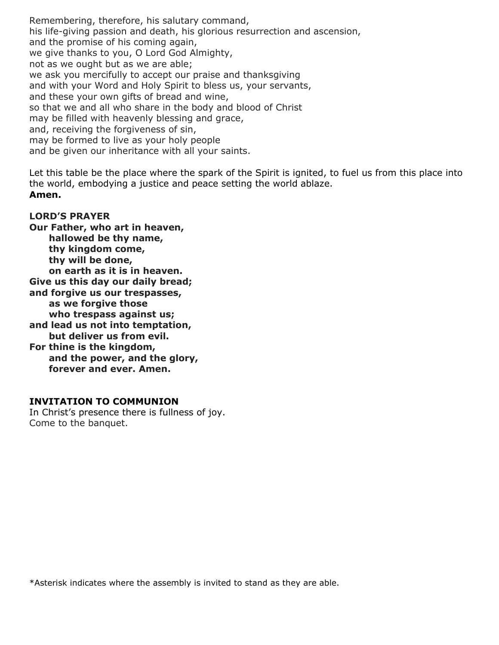Remembering, therefore, his salutary command, his life-giving passion and death, his glorious resurrection and ascension, and the promise of his coming again, we give thanks to you, O Lord God Almighty, not as we ought but as we are able; we ask you mercifully to accept our praise and thanksgiving and with your Word and Holy Spirit to bless us, your servants, and these your own gifts of bread and wine, so that we and all who share in the body and blood of Christ may be filled with heavenly blessing and grace, and, receiving the forgiveness of sin, may be formed to live as your holy people and be given our inheritance with all your saints.

Let this table be the place where the spark of the Spirit is ignited, to fuel us from this place into the world, embodying a justice and peace setting the world ablaze. **Amen.**

### **LORD'S PRAYER**

**Our Father, who art in heaven, hallowed be thy name, thy kingdom come, thy will be done, on earth as it is in heaven. Give us this day our daily bread; and forgive us our trespasses, as we forgive those who trespass against us; and lead us not into temptation, but deliver us from evil. For thine is the kingdom, and the power, and the glory, forever and ever. Amen.**

#### **INVITATION TO COMMUNION**

In Christ's presence there is fullness of joy. Come to the banquet.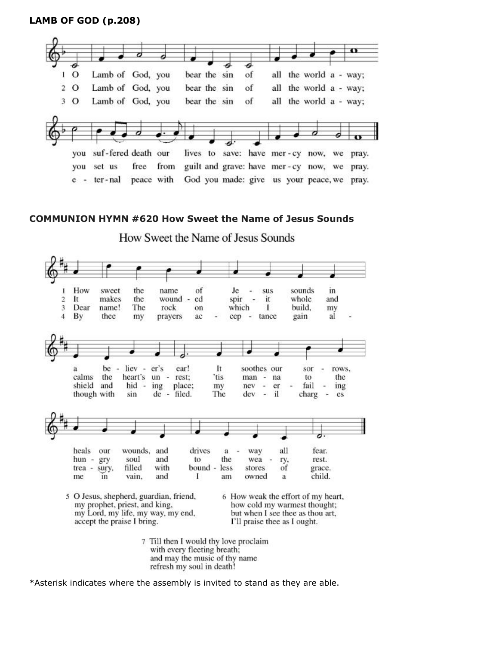### **LAMB OF GOD (p.208)**



#### **COMMUNION HYMN #620 How Sweet the Name of Jesus Sounds**

How Sweet the Name of Jesus Sounds



refresh my soul in death!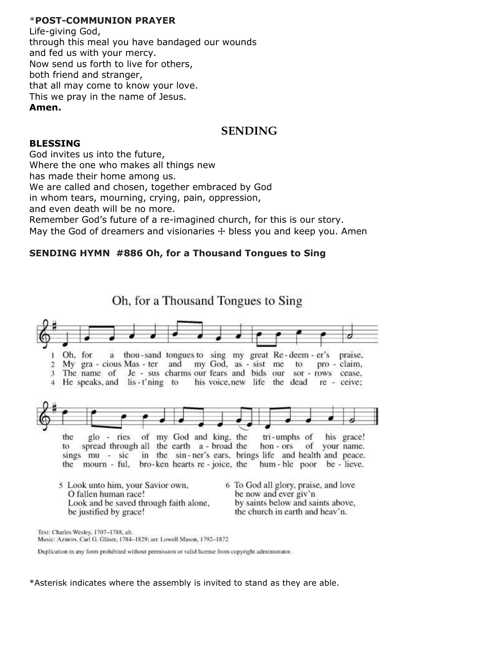#### \***POST-COMMUNION PRAYER**

Life-giving God, through this meal you have bandaged our wounds and fed us with your mercy. Now send us forth to live for others, both friend and stranger, that all may come to know your love. This we pray in the name of Jesus. **Amen.**

## **SENDING**

#### **BLESSING**

God invites us into the future, Where the one who makes all things new has made their home among us. We are called and chosen, together embraced by God in whom tears, mourning, crying, pain, oppression, and even death will be no more. Remember God's future of a re-imagined church, for this is our story. May the God of dreamers and visionaries  $+$  bless you and keep you. Amen

### **SENDING HYMN #886 Oh, for a Thousand Tongues to Sing**

Oh, for a Thousand Tongues to Sing Oh, for thou-sand tongues to sing my great Re-deem  $-er's$ praise.  $\mathbf{a}$ my God, as - sist me pro - claim, 2 My gra - cious Mas - ter and to Je - sus charms our fears and bids our 3 The name of sor - rows cease, 4 He speaks, and lis-t'ning to his voice, new life the dead re - ceive: glo - ries of my God and king, the tri-umphs of the his grace! spread through all the earth a - broad the hon - ors of your name. to in the sin-ner's ears, brings life and health and peace. sings mu - sic the mourn - ful, bro-ken hearts re-joice, the hum-ble poor be-lieve. 5 Look unto him, your Savior own, 6 To God all glory, praise, and love O fallen human race! be now and ever giv'n Look and be saved through faith alone, by saints below and saints above. be justified by grace! the church in earth and heav'n. Text: Charles Wesley, 1707-1788, alt. Music: AzMON, Carl G. Gläser, 1784-1829; arr. Lowell Mason, 1792-1872

Duplication in any form prohibited without permission or valid license from copyright administrator.